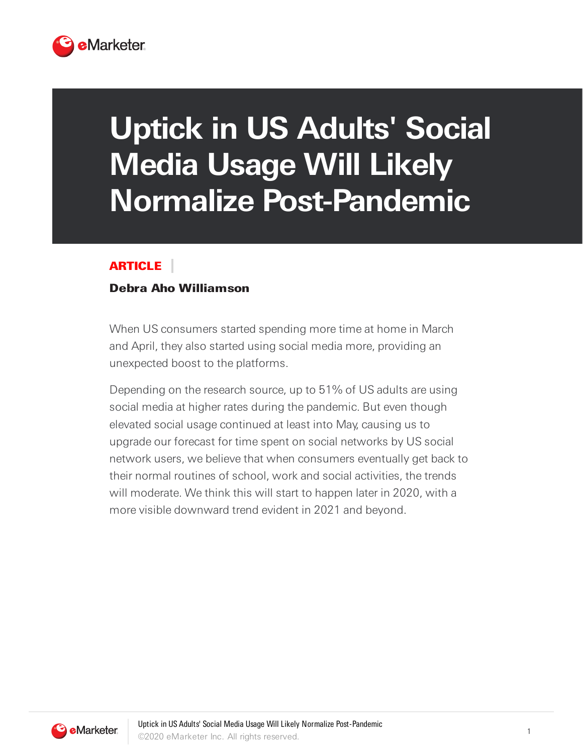

## **Uptick in US Adults' Social Media Usage Will Likely Normalize Post-Pandemic**

## ARTICLE

## Debra Aho Williamson

When US consumers started spending more time at home in March and April, they also started using social media more, providing an unexpected boost to the platforms.

Depending on the research source, up to 51% of US adults are using social media at higher rates during the pandemic. But even though elevated social usage continued at least into May, causing us to upgrade our forecast for time spent on social networks by US social network users, we believe that when consumers eventually get back to their normal routines of school, work and social activities, the trends will moderate. We think this will start to happen later in 2020, with a more visible downward trend evident in 2021 and beyond.

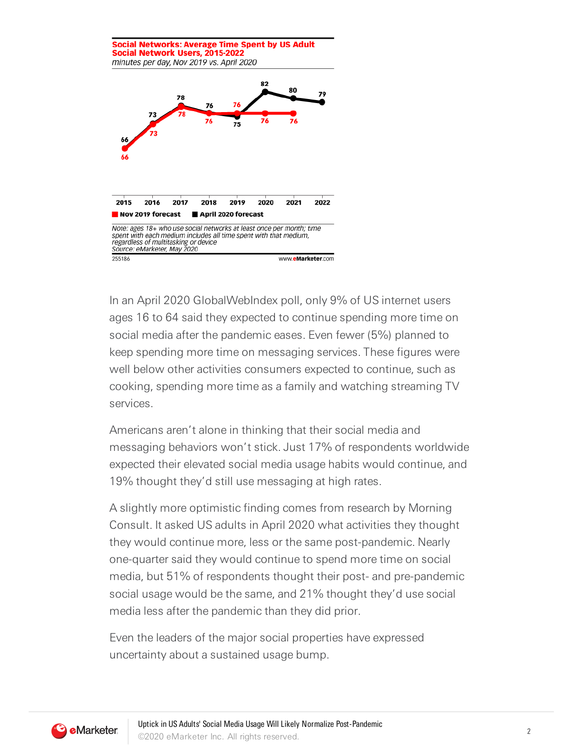

In an April 2020 GlobalWebIndex poll, only 9% of US internet users ages 16 to 64 said they expected to continue spending more time on social media after the pandemic eases. Even fewer (5%) planned to keep spending more time on messaging services. These figures were well below other activities consumers expected to continue, such as cooking, spending more time as a family and watching streaming TV services.

Americans aren't alone in thinking that their social media and messaging behaviors won't stick. Just 17% of respondents worldwide expected their elevated social media usage habits would continue, and 19% thought they'd still use messaging at high rates.

A slightly more optimistic finding comes from research by Morning Consult. It asked US adults in April 2020 what activities they thought they would continue more, less or the same post-pandemic. Nearly one-quarter said they would continue to spend more time on social media, but 51% of respondents thought their post- and pre-pandemic social usage would be the same, and 21% thought they'd use social media less after the pandemic than they did prior.

Even the leaders of the major social properties have expressed uncertainty about a sustained usage bump.